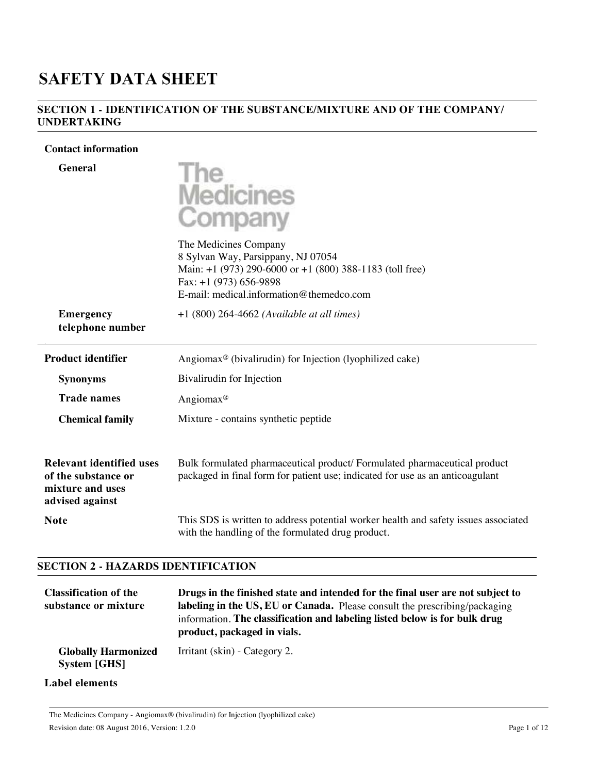# **SAFETY DATA SHEET**

## **SECTION 1 - IDENTIFICATION OF THE SUBSTANCE/MIXTURE AND OF THE COMPANY/ UNDERTAKING**

+1 (800) 264-4662 *(Available at all times)*

#### **Contact information**



The Medicines Company 8 Sylvan Way, Parsippany, NJ 07054 Main: +1 (973) 290-6000 or +1 (800) 388-1183 (toll free) Fax: +1 (973) 656-9898 E-mail: medical.information@themedco.com

**Emergency telephone number**

.

| <b>Product identifier</b>                                                              | Angiomax <sup>®</sup> (bivalirudin) for Injection (lyophilized cake)                                                                                      |
|----------------------------------------------------------------------------------------|-----------------------------------------------------------------------------------------------------------------------------------------------------------|
| <b>Synonyms</b>                                                                        | Bivalirudin for Injection                                                                                                                                 |
| <b>Trade names</b>                                                                     | Angiomax <sup>®</sup>                                                                                                                                     |
| <b>Chemical family</b>                                                                 | Mixture - contains synthetic peptide                                                                                                                      |
| Relevant identified uses<br>of the substance or<br>mixture and uses<br>advised against | Bulk formulated pharmaceutical product/Formulated pharmaceutical product<br>packaged in final form for patient use; indicated for use as an anticoagulant |
| <b>Note</b>                                                                            | This SDS is written to address potential worker health and safety issues associated<br>with the handling of the formulated drug product.                  |

#### **SECTION 2 - HAZARDS IDENTIFICATION**

| <b>Classification of the</b><br>substance or mixture | Drugs in the finished state and intended for the final user are not subject to<br>labeling in the US, EU or Canada. Please consult the prescribing/packaging<br>information. The classification and labeling listed below is for bulk drug<br>product, packaged in vials. |
|------------------------------------------------------|---------------------------------------------------------------------------------------------------------------------------------------------------------------------------------------------------------------------------------------------------------------------------|
| <b>Globally Harmonized</b><br><b>System [GHS]</b>    | Irritant (skin) - Category 2.                                                                                                                                                                                                                                             |

# **Label elements**

The Medicines Company - Angiomax® (bivalirudin) for Injection (lyophilized cake) Revision date: 08 August 2016, Version: 1.2.0 Page 1 of 12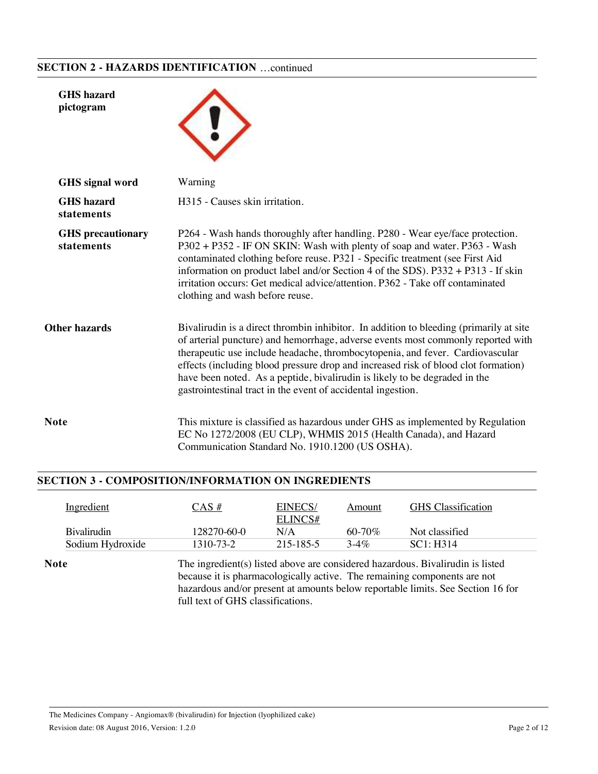# **SECTION 2 - HAZARDS IDENTIFICATION** …continued

| <b>GHS</b> hazard<br>pictogram         |                                                                                                                                                                                                                                                                                                                                                                                                                                                                                                 |
|----------------------------------------|-------------------------------------------------------------------------------------------------------------------------------------------------------------------------------------------------------------------------------------------------------------------------------------------------------------------------------------------------------------------------------------------------------------------------------------------------------------------------------------------------|
| <b>GHS</b> signal word                 | Warning                                                                                                                                                                                                                                                                                                                                                                                                                                                                                         |
| <b>GHS</b> hazard<br>statements        | H315 - Causes skin irritation.                                                                                                                                                                                                                                                                                                                                                                                                                                                                  |
| <b>GHS</b> precautionary<br>statements | P264 - Wash hands thoroughly after handling. P280 - Wear eye/face protection.<br>P302 + P352 - IF ON SKIN: Wash with plenty of soap and water. P363 - Wash<br>contaminated clothing before reuse. P321 - Specific treatment (see First Aid<br>information on product label and/or Section 4 of the SDS). P332 + P313 - If skin<br>irritation occurs: Get medical advice/attention. P362 - Take off contaminated<br>clothing and wash before reuse.                                              |
| Other hazards                          | Bivalirudin is a direct thrombin inhibitor. In addition to bleeding (primarily at site<br>of arterial puncture) and hemorrhage, adverse events most commonly reported with<br>therapeutic use include headache, thrombocytopenia, and fever. Cardiovascular<br>effects (including blood pressure drop and increased risk of blood clot formation)<br>have been noted. As a peptide, bivalirudin is likely to be degraded in the<br>gastrointestinal tract in the event of accidental ingestion. |
| Note                                   | This mixture is classified as hazardous under GHS as implemented by Regulation<br>EC No 1272/2008 (EU CLP), WHMIS 2015 (Health Canada), and Hazard<br>Communication Standard No. 1910.1200 (US OSHA).                                                                                                                                                                                                                                                                                           |

# **SECTION 3 - COMPOSITION/INFORMATION ON INGREDIENTS**

| Ingredient          | $CAS \#$    | EINECS/        | Amount      | <b>GHS</b> Classification |
|---------------------|-------------|----------------|-------------|---------------------------|
| <b>B</b> ivalirudin | 128270-60-0 | ELINCS#<br>N/A | $60 - 70\%$ | Not classified            |
| Sodium Hydroxide    | 1310-73-2   | 215-185-5      | $3-4\%$     | SC1: H314                 |

because it is pharmacologically active. The remaining components are not hazardous and/or present at amounts below reportable limits. See Section 16 for full text of GHS classifications.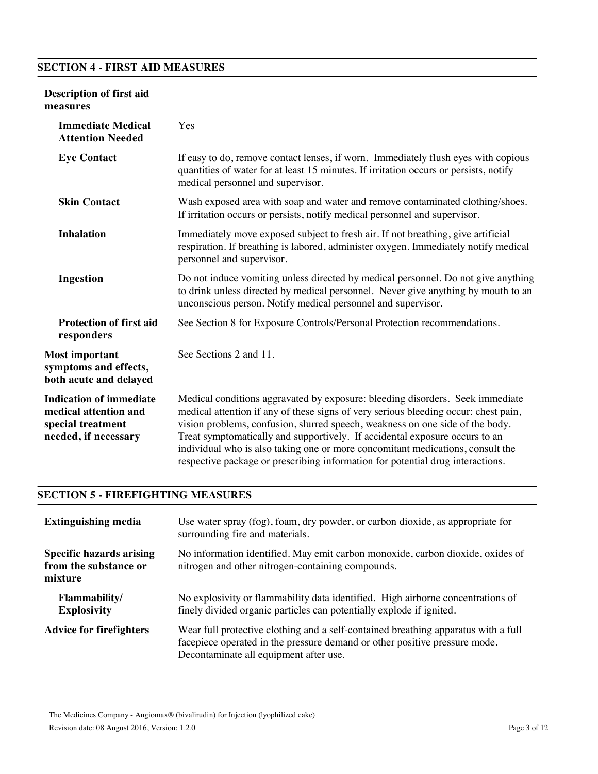# **SECTION 4 - FIRST AID MEASURES**

## **Description of first aid measures**

| <b>Immediate Medical</b><br><b>Attention Needed</b>                                                  | Yes                                                                                                                                                                                                                                                                                                                                                                                                                                                                                                      |
|------------------------------------------------------------------------------------------------------|----------------------------------------------------------------------------------------------------------------------------------------------------------------------------------------------------------------------------------------------------------------------------------------------------------------------------------------------------------------------------------------------------------------------------------------------------------------------------------------------------------|
| <b>Eye Contact</b>                                                                                   | If easy to do, remove contact lenses, if worn. Immediately flush eyes with copious<br>quantities of water for at least 15 minutes. If irritation occurs or persists, notify<br>medical personnel and supervisor.                                                                                                                                                                                                                                                                                         |
| <b>Skin Contact</b>                                                                                  | Wash exposed area with soap and water and remove contaminated clothing/shoes.<br>If irritation occurs or persists, notify medical personnel and supervisor.                                                                                                                                                                                                                                                                                                                                              |
| <b>Inhalation</b>                                                                                    | Immediately move exposed subject to fresh air. If not breathing, give artificial<br>respiration. If breathing is labored, administer oxygen. Immediately notify medical<br>personnel and supervisor.                                                                                                                                                                                                                                                                                                     |
| Ingestion                                                                                            | Do not induce vomiting unless directed by medical personnel. Do not give anything<br>to drink unless directed by medical personnel. Never give anything by mouth to an<br>unconscious person. Notify medical personnel and supervisor.                                                                                                                                                                                                                                                                   |
| <b>Protection of first aid</b><br>responders                                                         | See Section 8 for Exposure Controls/Personal Protection recommendations.                                                                                                                                                                                                                                                                                                                                                                                                                                 |
| <b>Most important</b><br>symptoms and effects,<br>both acute and delayed                             | See Sections 2 and 11.                                                                                                                                                                                                                                                                                                                                                                                                                                                                                   |
| <b>Indication of immediate</b><br>medical attention and<br>special treatment<br>needed, if necessary | Medical conditions aggravated by exposure: bleeding disorders. Seek immediate<br>medical attention if any of these signs of very serious bleeding occur: chest pain,<br>vision problems, confusion, slurred speech, weakness on one side of the body.<br>Treat symptomatically and supportively. If accidental exposure occurs to an<br>individual who is also taking one or more concomitant medications, consult the<br>respective package or prescribing information for potential drug interactions. |

#### **SECTION 5 - FIREFIGHTING MEASURES**

| <b>Extinguishing media</b>                                          | Use water spray (fog), foam, dry powder, or carbon dioxide, as appropriate for<br>surrounding fire and materials.                                                                                          |
|---------------------------------------------------------------------|------------------------------------------------------------------------------------------------------------------------------------------------------------------------------------------------------------|
| <b>Specific hazards arising</b><br>from the substance or<br>mixture | No information identified. May emit carbon monoxide, carbon dioxide, oxides of<br>nitrogen and other nitrogen-containing compounds.                                                                        |
| Flammability/<br><b>Explosivity</b>                                 | No explosivity or flammability data identified. High airborne concentrations of<br>finely divided organic particles can potentially explode if ignited.                                                    |
| <b>Advice for firefighters</b>                                      | Wear full protective clothing and a self-contained breathing apparatus with a full<br>facepiece operated in the pressure demand or other positive pressure mode.<br>Decontaminate all equipment after use. |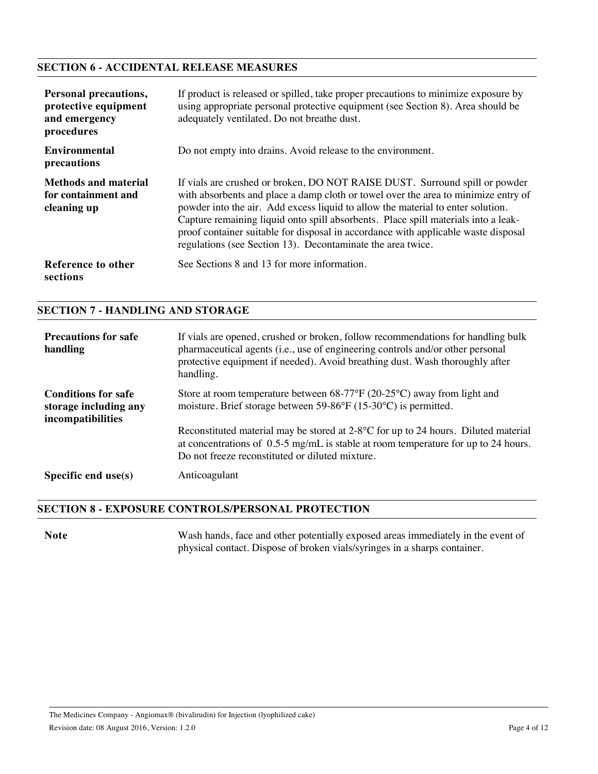# **SECTION 6 - ACCIDENTAL RELEASE MEASURES**

| <b>Personal precautions,</b><br>protective equipment<br>and emergency<br>procedures | If product is released or spilled, take proper precautions to minimize exposure by<br>using appropriate personal protective equipment (see Section 8). Area should be<br>adequately ventilated. Do not breathe dust.                                                                                                                                                                                                                                                                            |
|-------------------------------------------------------------------------------------|-------------------------------------------------------------------------------------------------------------------------------------------------------------------------------------------------------------------------------------------------------------------------------------------------------------------------------------------------------------------------------------------------------------------------------------------------------------------------------------------------|
| <b>Environmental</b><br>precautions                                                 | Do not empty into drains. Avoid release to the environment.                                                                                                                                                                                                                                                                                                                                                                                                                                     |
| <b>Methods and material</b><br>for containment and<br>cleaning up                   | If vials are crushed or broken, DO NOT RAISE DUST. Surround spill or powder<br>with absorbents and place a damp cloth or towel over the area to minimize entry of<br>powder into the air. Add excess liquid to allow the material to enter solution.<br>Capture remaining liquid onto spill absorbents. Place spill materials into a leak-<br>proof container suitable for disposal in accordance with applicable waste disposal<br>regulations (see Section 13). Decontaminate the area twice. |
| Reference to other<br>sections                                                      | See Sections 8 and 13 for more information.                                                                                                                                                                                                                                                                                                                                                                                                                                                     |

#### **SECTION 7 - HANDLING AND STORAGE**

| <b>Precautions for safe</b><br>handling                                  | If vials are opened, crushed or broken, follow recommendations for handling bulk<br>pharmaceutical agents (i.e., use of engineering controls and/or other personal<br>protective equipment if needed). Avoid breathing dust. Wash thoroughly after<br>handling. |
|--------------------------------------------------------------------------|-----------------------------------------------------------------------------------------------------------------------------------------------------------------------------------------------------------------------------------------------------------------|
| <b>Conditions for safe</b><br>storage including any<br>incompatibilities | Store at room temperature between $68-77^{\circ}F(20-25^{\circ}C)$ away from light and<br>moisture. Brief storage between 59-86°F (15-30°C) is permitted.                                                                                                       |
|                                                                          | Reconstituted material may be stored at $2.8^{\circ}$ C for up to 24 hours. Diluted material<br>at concentrations of $0.5{\text -}5$ mg/mL is stable at room temperature for up to 24 hours.<br>Do not freeze reconstituted or diluted mixture.                 |
| Specific end $use(s)$                                                    | Anticoagulant                                                                                                                                                                                                                                                   |

#### **SECTION 8 - EXPOSURE CONTROLS/PERSONAL PROTECTION**

Note Wash hands, face and other potentially exposed areas immediately in the event of physical contact. Dispose of broken vials/syringes in a sharps container.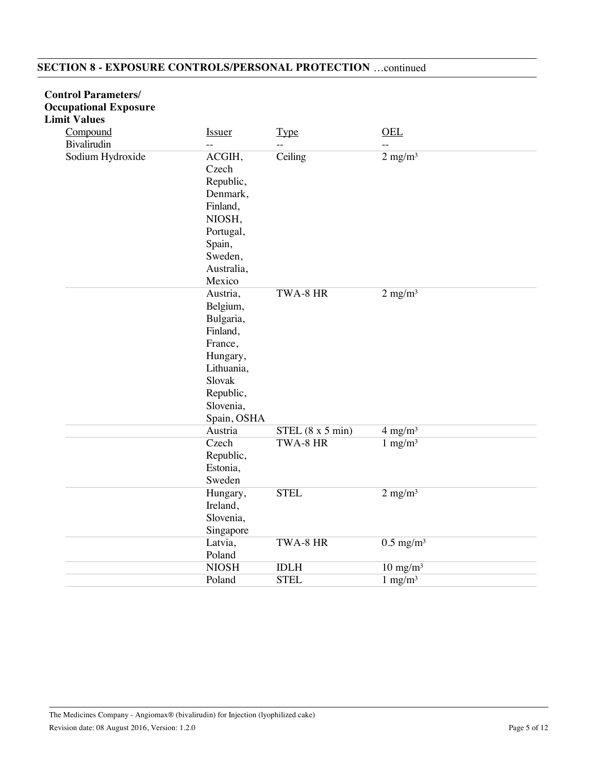# **SECTION 8 - EXPOSURE CONTROLS/PERSONAL PROTECTION** …continued

| <b>Control Parameters/</b>   |                                                                                                                                       |                    |                         |
|------------------------------|---------------------------------------------------------------------------------------------------------------------------------------|--------------------|-------------------------|
| <b>Occupational Exposure</b> |                                                                                                                                       |                    |                         |
| <b>Limit Values</b>          |                                                                                                                                       |                    |                         |
| Compound                     | <b>Issuer</b>                                                                                                                         | <b>Type</b>        | <b>OEL</b>              |
| Bivalirudin                  | $-$                                                                                                                                   |                    |                         |
| Sodium Hydroxide             | ACGIH,<br>Czech<br>Republic,<br>Denmark,<br>Finland,<br>NIOSH,<br>Portugal,<br>Spain,<br>Sweden,<br>Australia,<br>Mexico              | Ceiling            | $2$ mg/m <sup>3</sup>   |
|                              | Austria,<br>Belgium,<br>Bulgaria,<br>Finland,<br>France,<br>Hungary,<br>Lithuania,<br>Slovak<br>Republic,<br>Slovenia,<br>Spain, OSHA | TWA-8 HR           | $2$ mg/m <sup>3</sup>   |
|                              | Austria                                                                                                                               | $STEL$ (8 x 5 min) | $4 \text{ mg/m}^3$      |
|                              | Czech<br>Republic,<br>Estonia,<br>Sweden                                                                                              | TWA-8 HR           | $1$ mg/m <sup>3</sup>   |
|                              | Hungary,<br>Ireland,<br>Slovenia,<br>Singapore                                                                                        | <b>STEL</b>        | $2$ mg/m <sup>3</sup>   |
|                              | Latvia,<br>Poland                                                                                                                     | TWA-8 HR           | $0.5$ mg/m <sup>3</sup> |
|                              | <b>NIOSH</b>                                                                                                                          | <b>IDLH</b>        | $10 \text{ mg/m}^3$     |
|                              | Poland                                                                                                                                | <b>STEL</b>        | $1$ mg/m <sup>3</sup>   |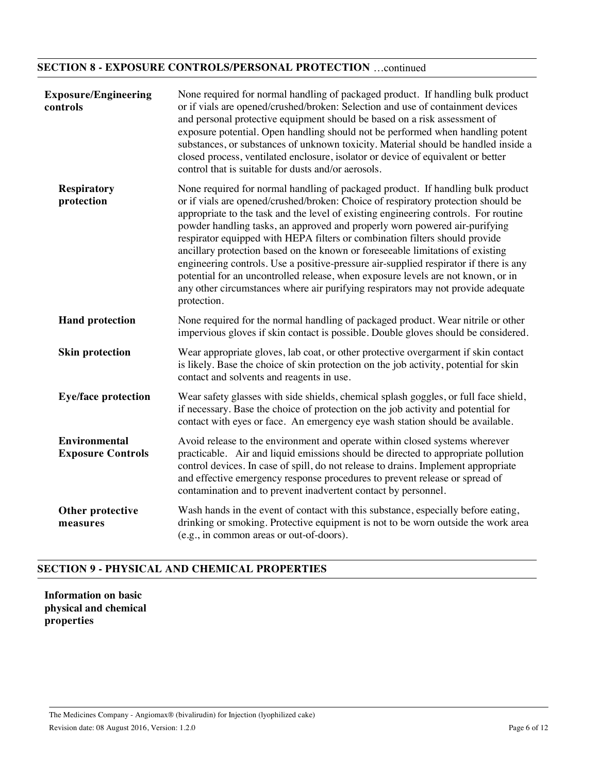# **SECTION 8 - EXPOSURE CONTROLS/PERSONAL PROTECTION** …continued

| <b>Exposure/Engineering</b><br>controls          | None required for normal handling of packaged product. If handling bulk product<br>or if vials are opened/crushed/broken: Selection and use of containment devices<br>and personal protective equipment should be based on a risk assessment of<br>exposure potential. Open handling should not be performed when handling potent<br>substances, or substances of unknown toxicity. Material should be handled inside a<br>closed process, ventilated enclosure, isolator or device of equivalent or better<br>control that is suitable for dusts and/or aerosols.                                                                                                                                                                                                                         |
|--------------------------------------------------|--------------------------------------------------------------------------------------------------------------------------------------------------------------------------------------------------------------------------------------------------------------------------------------------------------------------------------------------------------------------------------------------------------------------------------------------------------------------------------------------------------------------------------------------------------------------------------------------------------------------------------------------------------------------------------------------------------------------------------------------------------------------------------------------|
| <b>Respiratory</b><br>protection                 | None required for normal handling of packaged product. If handling bulk product<br>or if vials are opened/crushed/broken: Choice of respiratory protection should be<br>appropriate to the task and the level of existing engineering controls. For routine<br>powder handling tasks, an approved and properly worn powered air-purifying<br>respirator equipped with HEPA filters or combination filters should provide<br>ancillary protection based on the known or foreseeable limitations of existing<br>engineering controls. Use a positive-pressure air-supplied respirator if there is any<br>potential for an uncontrolled release, when exposure levels are not known, or in<br>any other circumstances where air purifying respirators may not provide adequate<br>protection. |
| <b>Hand protection</b>                           | None required for the normal handling of packaged product. Wear nitrile or other<br>impervious gloves if skin contact is possible. Double gloves should be considered.                                                                                                                                                                                                                                                                                                                                                                                                                                                                                                                                                                                                                     |
| <b>Skin protection</b>                           | Wear appropriate gloves, lab coat, or other protective overgarment if skin contact<br>is likely. Base the choice of skin protection on the job activity, potential for skin<br>contact and solvents and reagents in use.                                                                                                                                                                                                                                                                                                                                                                                                                                                                                                                                                                   |
| <b>Eye/face protection</b>                       | Wear safety glasses with side shields, chemical splash goggles, or full face shield,<br>if necessary. Base the choice of protection on the job activity and potential for<br>contact with eyes or face. An emergency eye wash station should be available.                                                                                                                                                                                                                                                                                                                                                                                                                                                                                                                                 |
| <b>Environmental</b><br><b>Exposure Controls</b> | Avoid release to the environment and operate within closed systems wherever<br>practicable. Air and liquid emissions should be directed to appropriate pollution<br>control devices. In case of spill, do not release to drains. Implement appropriate<br>and effective emergency response procedures to prevent release or spread of<br>contamination and to prevent inadvertent contact by personnel.                                                                                                                                                                                                                                                                                                                                                                                    |
| Other protective<br>measures                     | Wash hands in the event of contact with this substance, especially before eating,<br>drinking or smoking. Protective equipment is not to be worn outside the work area<br>(e.g., in common areas or out-of-doors).                                                                                                                                                                                                                                                                                                                                                                                                                                                                                                                                                                         |

# **SECTION 9 - PHYSICAL AND CHEMICAL PROPERTIES**

**Information on basic physical and chemical properties**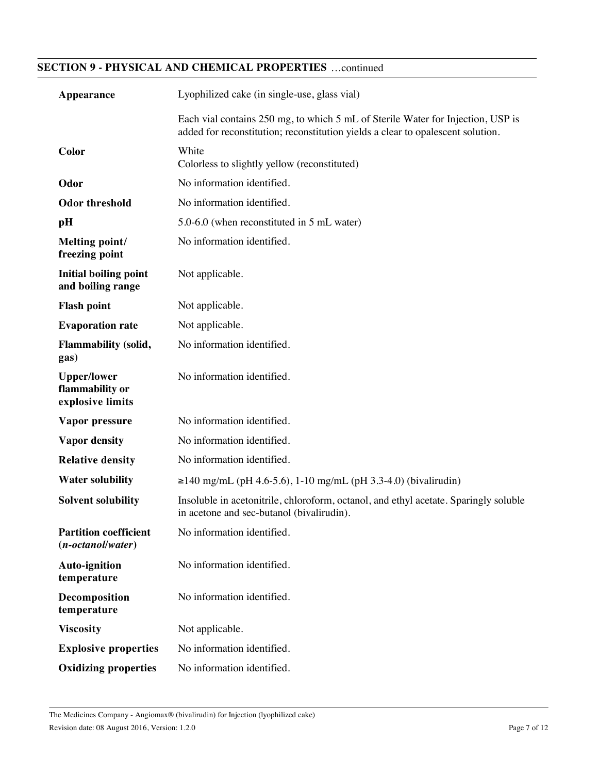# **SECTION 9 - PHYSICAL AND CHEMICAL PROPERTIES** …continued

| Appearance                                                | Lyophilized cake (in single-use, glass vial)                                                                                                                       |
|-----------------------------------------------------------|--------------------------------------------------------------------------------------------------------------------------------------------------------------------|
|                                                           | Each vial contains 250 mg, to which 5 mL of Sterile Water for Injection, USP is<br>added for reconstitution; reconstitution yields a clear to opalescent solution. |
| Color                                                     | White<br>Colorless to slightly yellow (reconstituted)                                                                                                              |
| Odor                                                      | No information identified.                                                                                                                                         |
| <b>Odor threshold</b>                                     | No information identified.                                                                                                                                         |
| pH                                                        | 5.0-6.0 (when reconstituted in 5 mL water)                                                                                                                         |
| Melting point/<br>freezing point                          | No information identified.                                                                                                                                         |
| <b>Initial boiling point</b><br>and boiling range         | Not applicable.                                                                                                                                                    |
| <b>Flash point</b>                                        | Not applicable.                                                                                                                                                    |
| <b>Evaporation rate</b>                                   | Not applicable.                                                                                                                                                    |
| Flammability (solid,<br>gas)                              | No information identified.                                                                                                                                         |
| <b>Upper/lower</b><br>flammability or<br>explosive limits | No information identified.                                                                                                                                         |
| Vapor pressure                                            | No information identified.                                                                                                                                         |
| <b>Vapor density</b>                                      | No information identified.                                                                                                                                         |
| <b>Relative density</b>                                   | No information identified.                                                                                                                                         |
| <b>Water solubility</b>                                   | $\geq$ 140 mg/mL (pH 4.6-5.6), 1-10 mg/mL (pH 3.3-4.0) (bivalirudin)                                                                                               |
| <b>Solvent solubility</b>                                 | Insoluble in acetonitrile, chloroform, octanol, and ethyl acetate. Sparingly soluble<br>in acetone and sec-butanol (bivalirudin).                                  |
| <b>Partition coefficient</b><br>$(n-octanol/water)$       | No information identified.                                                                                                                                         |
| <b>Auto-ignition</b><br>temperature                       | No information identified.                                                                                                                                         |
| Decomposition<br>temperature                              | No information identified.                                                                                                                                         |
| <b>Viscosity</b>                                          | Not applicable.                                                                                                                                                    |
| <b>Explosive properties</b>                               | No information identified.                                                                                                                                         |
| <b>Oxidizing properties</b>                               | No information identified.                                                                                                                                         |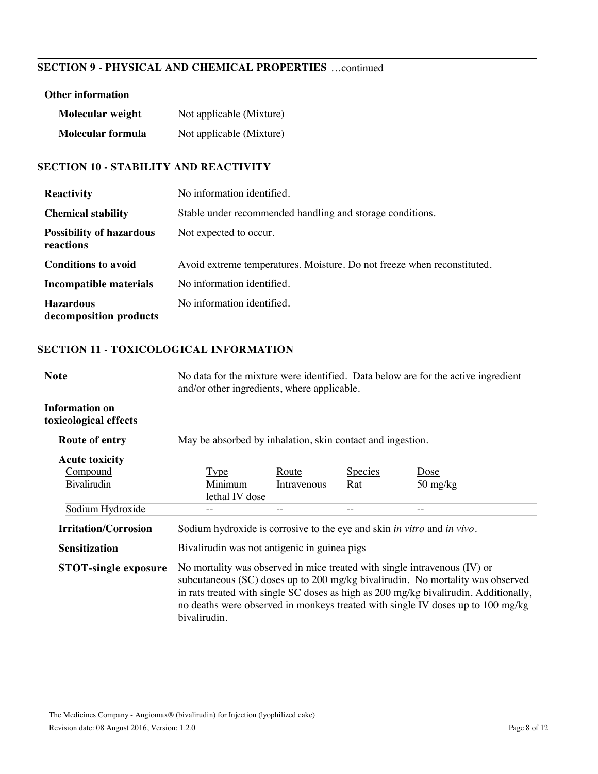# **SECTION 9 - PHYSICAL AND CHEMICAL PROPERTIES** …continued

# **Other information**

| Molecular weight  | Not applicable (Mixture) |
|-------------------|--------------------------|
| Molecular formula | Not applicable (Mixture) |

# **SECTION 10 - STABILITY AND REACTIVITY**

| <b>Reactivity</b>                            | No information identified.                                              |
|----------------------------------------------|-------------------------------------------------------------------------|
| <b>Chemical stability</b>                    | Stable under recommended handling and storage conditions.               |
| <b>Possibility of hazardous</b><br>reactions | Not expected to occur.                                                  |
| <b>Conditions to avoid</b>                   | Avoid extreme temperatures. Moisture. Do not freeze when reconstituted. |
| Incompatible materials                       | No information identified.                                              |
| <b>Hazardous</b><br>decomposition products   | No information identified.                                              |

# **SECTION 11 - TOXICOLOGICAL INFORMATION**

| <b>Note</b>                                    | and/or other ingredients, where applicable.                                                                                                                                                                                                                                                                                                              |              |                | No data for the mixture were identified. Data below are for the active ingredient |
|------------------------------------------------|----------------------------------------------------------------------------------------------------------------------------------------------------------------------------------------------------------------------------------------------------------------------------------------------------------------------------------------------------------|--------------|----------------|-----------------------------------------------------------------------------------|
| <b>Information on</b><br>toxicological effects |                                                                                                                                                                                                                                                                                                                                                          |              |                |                                                                                   |
| <b>Route of entry</b>                          | May be absorbed by inhalation, skin contact and ingestion.                                                                                                                                                                                                                                                                                               |              |                |                                                                                   |
| <b>Acute toxicity</b>                          |                                                                                                                                                                                                                                                                                                                                                          |              |                |                                                                                   |
| Compound                                       | <u>Type</u>                                                                                                                                                                                                                                                                                                                                              | <u>Route</u> | <b>Species</b> | <u>Dose</u>                                                                       |
| Bivalirudin                                    | Minimum<br>lethal IV dose                                                                                                                                                                                                                                                                                                                                | Intravenous  | Rat            | $50 \frac{\text{mg}}{\text{kg}}$                                                  |
| Sodium Hydroxide                               |                                                                                                                                                                                                                                                                                                                                                          |              |                |                                                                                   |
| <b>Irritation/Corrosion</b>                    | Sodium hydroxide is corrosive to the eye and skin in vitro and in vivo.                                                                                                                                                                                                                                                                                  |              |                |                                                                                   |
| <b>Sensitization</b>                           | Bivalirudin was not antigenic in guinea pigs                                                                                                                                                                                                                                                                                                             |              |                |                                                                                   |
| <b>STOT-single exposure</b>                    | No mortality was observed in mice treated with single intravenous $(IV)$ or<br>subcutaneous (SC) doses up to 200 mg/kg bivalirudin. No mortality was observed<br>in rats treated with single SC doses as high as 200 mg/kg bivalirudin. Additionally,<br>no deaths were observed in monkeys treated with single IV doses up to 100 mg/kg<br>bivalirudin. |              |                |                                                                                   |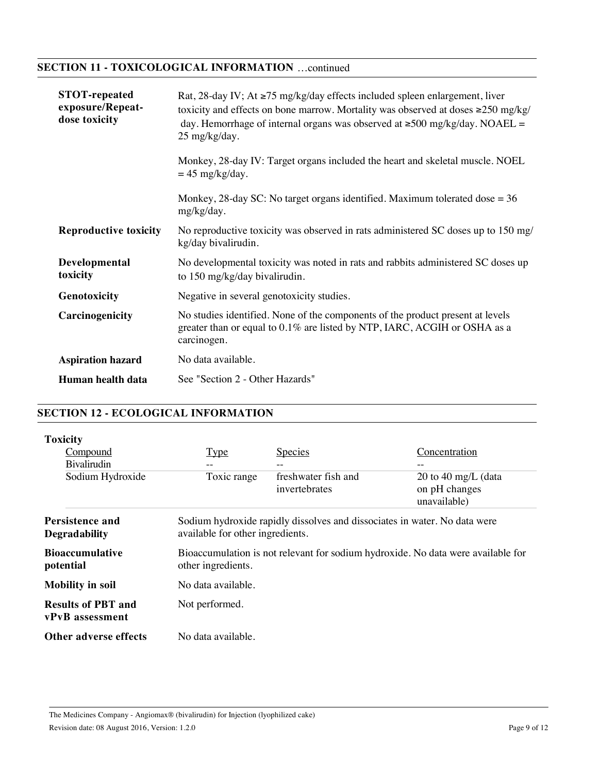# **SECTION 11 - TOXICOLOGICAL INFORMATION** …continued

| <b>STOT-repeated</b><br>exposure/Repeat-<br>dose toxicity | Rat, 28-day IV; At $\ge 75$ mg/kg/day effects included spleen enlargement, liver<br>toxicity and effects on bone marrow. Mortality was observed at doses $\geq 250$ mg/kg/<br>day. Hemorrhage of internal organs was observed at $\geq 500$ mg/kg/day. NOAEL =<br>25 mg/kg/day.<br>Monkey, 28-day IV: Target organs included the heart and skeletal muscle. NOEL<br>$= 45$ mg/kg/day.<br>Monkey, 28-day SC: No target organs identified. Maximum tolerated dose $= 36$<br>mg/kg/day. |
|-----------------------------------------------------------|--------------------------------------------------------------------------------------------------------------------------------------------------------------------------------------------------------------------------------------------------------------------------------------------------------------------------------------------------------------------------------------------------------------------------------------------------------------------------------------|
| <b>Reproductive toxicity</b>                              | No reproductive toxicity was observed in rats administered SC doses up to 150 mg/<br>kg/day bivalirudin.                                                                                                                                                                                                                                                                                                                                                                             |
| Developmental<br>toxicity                                 | No developmental toxicity was noted in rats and rabbits administered SC doses up<br>to 150 mg/kg/day bivalirudin.                                                                                                                                                                                                                                                                                                                                                                    |
| Genotoxicity                                              | Negative in several genotoxicity studies.                                                                                                                                                                                                                                                                                                                                                                                                                                            |
| Carcinogenicity                                           | No studies identified. None of the components of the product present at levels<br>greater than or equal to 0.1% are listed by NTP, IARC, ACGIH or OSHA as a<br>carcinogen.                                                                                                                                                                                                                                                                                                           |
| <b>Aspiration hazard</b>                                  | No data available.                                                                                                                                                                                                                                                                                                                                                                                                                                                                   |
| Human health data                                         | See "Section 2 - Other Hazards"                                                                                                                                                                                                                                                                                                                                                                                                                                                      |

# **SECTION 12 - ECOLOGICAL INFORMATION**

| <b>Toxicity</b>                              |                                  |                                                                                  |                                                      |
|----------------------------------------------|----------------------------------|----------------------------------------------------------------------------------|------------------------------------------------------|
| Compound                                     | Type                             | <b>Species</b>                                                                   | Concentration                                        |
| <b>Bivalirudin</b>                           | $- -$                            |                                                                                  |                                                      |
| Sodium Hydroxide                             | Toxic range                      | freshwater fish and<br>invertebrates                                             | 20 to 40 mg/L (data<br>on pH changes<br>unavailable) |
| Persistence and<br><b>Degradability</b>      | available for other ingredients. | Sodium hydroxide rapidly dissolves and dissociates in water. No data were        |                                                      |
| <b>Bioaccumulative</b><br>potential          | other ingredients.               | Bioaccumulation is not relevant for sodium hydroxide. No data were available for |                                                      |
| <b>Mobility in soil</b>                      | No data available.               |                                                                                  |                                                      |
| <b>Results of PBT and</b><br>vPvB assessment | Not performed.                   |                                                                                  |                                                      |
| Other adverse effects                        | No data available.               |                                                                                  |                                                      |

The Medicines Company - Angiomax® (bivalirudin) for Injection (lyophilized cake) Revision date: 08 August 2016, Version: 1.2.0 Page 9 of 12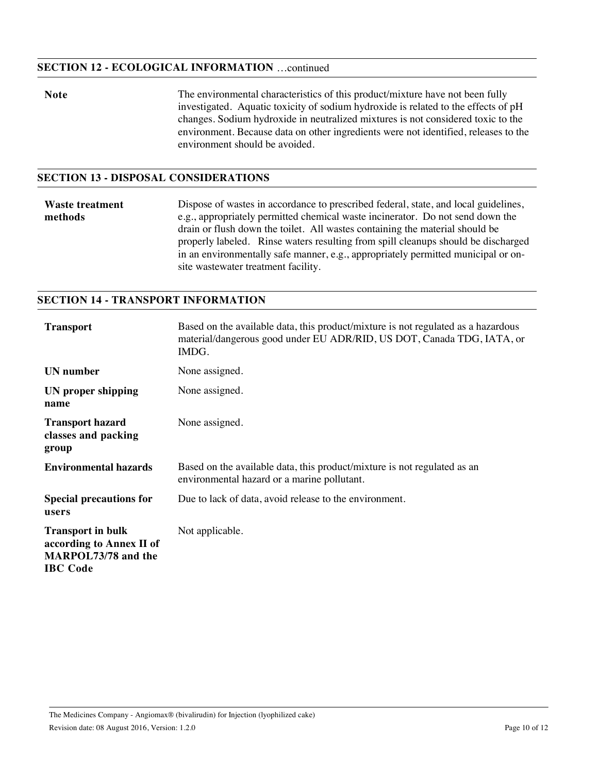#### **SECTION 12 - ECOLOGICAL INFORMATION** …continued

**Note** The environmental characteristics of this product/mixture have not been fully investigated. Aquatic toxicity of sodium hydroxide is related to the effects of pH changes. Sodium hydroxide in neutralized mixtures is not considered toxic to the environment. Because data on other ingredients were not identified, releases to the environment should be avoided.

# **SECTION 13 - DISPOSAL CONSIDERATIONS**

**Waste treatment methods** Dispose of wastes in accordance to prescribed federal, state, and local guidelines, e.g., appropriately permitted chemical waste incinerator. Do not send down the drain or flush down the toilet. All wastes containing the material should be properly labeled. Rinse waters resulting from spill cleanups should be discharged in an environmentally safe manner, e.g., appropriately permitted municipal or onsite wastewater treatment facility.

#### **SECTION 14 - TRANSPORT INFORMATION**

| <b>Transport</b>                                                                               | Based on the available data, this product/mixture is not regulated as a hazardous<br>material/dangerous good under EU ADR/RID, US DOT, Canada TDG, IATA, or<br>IMDG. |
|------------------------------------------------------------------------------------------------|----------------------------------------------------------------------------------------------------------------------------------------------------------------------|
| UN number                                                                                      | None assigned.                                                                                                                                                       |
| UN proper shipping<br>name                                                                     | None assigned.                                                                                                                                                       |
| <b>Transport hazard</b><br>classes and packing<br>group                                        | None assigned.                                                                                                                                                       |
| <b>Environmental hazards</b>                                                                   | Based on the available data, this product/mixture is not regulated as an<br>environmental hazard or a marine pollutant.                                              |
| <b>Special precautions for</b><br>users                                                        | Due to lack of data, avoid release to the environment.                                                                                                               |
| <b>Transport in bulk</b><br>according to Annex II of<br>MARPOL73/78 and the<br><b>IBC</b> Code | Not applicable.                                                                                                                                                      |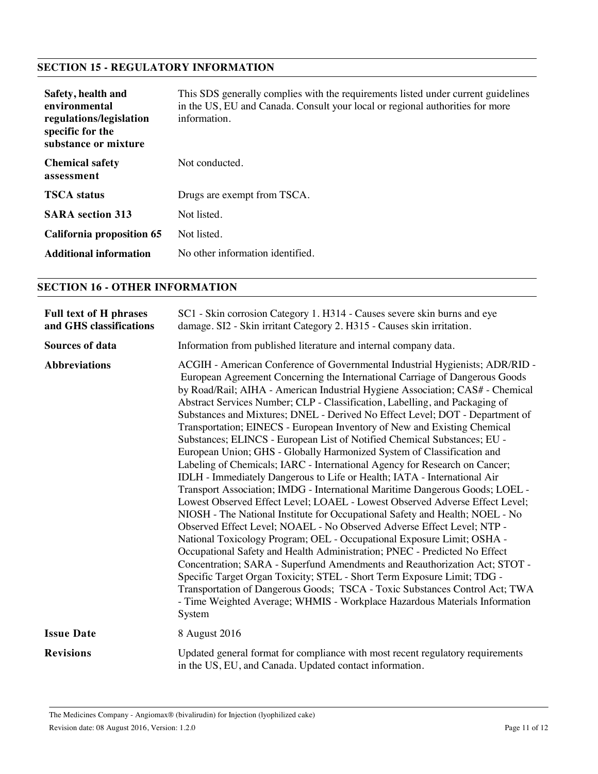# **SECTION 15 - REGULATORY INFORMATION**

| Safety, health and<br>environmental<br>regulations/legislation<br>specific for the<br>substance or mixture | This SDS generally complies with the requirements listed under current guidelines<br>in the US, EU and Canada. Consult your local or regional authorities for more<br>information. |
|------------------------------------------------------------------------------------------------------------|------------------------------------------------------------------------------------------------------------------------------------------------------------------------------------|
| <b>Chemical safety</b><br>assessment                                                                       | Not conducted.                                                                                                                                                                     |
| <b>TSCA</b> status                                                                                         | Drugs are exempt from TSCA.                                                                                                                                                        |
| <b>SARA</b> section 313                                                                                    | Not listed.                                                                                                                                                                        |
| California proposition 65                                                                                  | Not listed.                                                                                                                                                                        |
| <b>Additional information</b>                                                                              | No other information identified.                                                                                                                                                   |

# **SECTION 16 - OTHER INFORMATION**

| <b>Full text of H phrases</b><br>and GHS classifications | SC1 - Skin corrosion Category 1. H314 - Causes severe skin burns and eye<br>damage. SI2 - Skin irritant Category 2. H315 - Causes skin irritation.                                                                                                                                                                                                                                                                                                                                                                                                                                                                                                                                                                                                                                                                                                                                                                                                                                                                                                                                                                                                                                                                                                                                                                                                                                                                                                                                                                                                                                                                      |
|----------------------------------------------------------|-------------------------------------------------------------------------------------------------------------------------------------------------------------------------------------------------------------------------------------------------------------------------------------------------------------------------------------------------------------------------------------------------------------------------------------------------------------------------------------------------------------------------------------------------------------------------------------------------------------------------------------------------------------------------------------------------------------------------------------------------------------------------------------------------------------------------------------------------------------------------------------------------------------------------------------------------------------------------------------------------------------------------------------------------------------------------------------------------------------------------------------------------------------------------------------------------------------------------------------------------------------------------------------------------------------------------------------------------------------------------------------------------------------------------------------------------------------------------------------------------------------------------------------------------------------------------------------------------------------------------|
| Sources of data                                          | Information from published literature and internal company data.                                                                                                                                                                                                                                                                                                                                                                                                                                                                                                                                                                                                                                                                                                                                                                                                                                                                                                                                                                                                                                                                                                                                                                                                                                                                                                                                                                                                                                                                                                                                                        |
| <b>Abbreviations</b>                                     | ACGIH - American Conference of Governmental Industrial Hygienists; ADR/RID -<br>European Agreement Concerning the International Carriage of Dangerous Goods<br>by Road/Rail; AIHA - American Industrial Hygiene Association; CAS# - Chemical<br>Abstract Services Number; CLP - Classification, Labelling, and Packaging of<br>Substances and Mixtures; DNEL - Derived No Effect Level; DOT - Department of<br>Transportation; EINECS - European Inventory of New and Existing Chemical<br>Substances; ELINCS - European List of Notified Chemical Substances; EU -<br>European Union; GHS - Globally Harmonized System of Classification and<br>Labeling of Chemicals; IARC - International Agency for Research on Cancer;<br>IDLH - Immediately Dangerous to Life or Health; IATA - International Air<br>Transport Association; IMDG - International Maritime Dangerous Goods; LOEL -<br>Lowest Observed Effect Level; LOAEL - Lowest Observed Adverse Effect Level;<br>NIOSH - The National Institute for Occupational Safety and Health; NOEL - No<br>Observed Effect Level; NOAEL - No Observed Adverse Effect Level; NTP -<br>National Toxicology Program; OEL - Occupational Exposure Limit; OSHA -<br>Occupational Safety and Health Administration; PNEC - Predicted No Effect<br>Concentration; SARA - Superfund Amendments and Reauthorization Act; STOT -<br>Specific Target Organ Toxicity; STEL - Short Term Exposure Limit; TDG -<br>Transportation of Dangerous Goods; TSCA - Toxic Substances Control Act; TWA<br>- Time Weighted Average; WHMIS - Workplace Hazardous Materials Information<br>System |
| <b>Issue Date</b>                                        | 8 August 2016                                                                                                                                                                                                                                                                                                                                                                                                                                                                                                                                                                                                                                                                                                                                                                                                                                                                                                                                                                                                                                                                                                                                                                                                                                                                                                                                                                                                                                                                                                                                                                                                           |
| <b>Revisions</b>                                         | Updated general format for compliance with most recent regulatory requirements<br>in the US, EU, and Canada. Updated contact information.                                                                                                                                                                                                                                                                                                                                                                                                                                                                                                                                                                                                                                                                                                                                                                                                                                                                                                                                                                                                                                                                                                                                                                                                                                                                                                                                                                                                                                                                               |